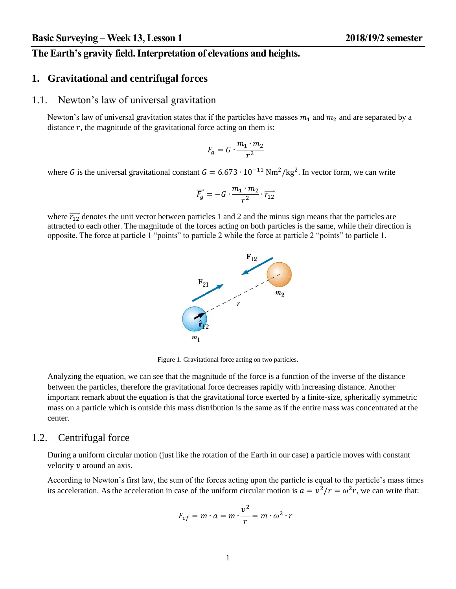## **The Earth's gravity field. Interpretation of elevations and heights.**

# **1. Gravitational and centrifugal forces**

#### 1.1. Newton's law of universal gravitation

Newton's law of universal gravitation states that if the particles have masses  $m_1$  and  $m_2$  and are separated by a distance  $r$ , the magnitude of the gravitational force acting on them is:

$$
F_g=G\cdot \frac{m_1\cdot m_2}{r^2}
$$

where G is the universal gravitational constant  $G = 6.673 \cdot 10^{-11}$  Nm<sup>2</sup>/kg<sup>2</sup>. In vector form, we can write

$$
\overrightarrow{F_g}=-G\cdot\frac{m_1\cdot m_2}{r^2}\cdot\overrightarrow{r_{12}}
$$

where  $\overrightarrow{r_{12}}$  denotes the unit vector between particles 1 and 2 and the minus sign means that the particles are attracted to each other. The magnitude of the forces acting on both particles is the same, while their direction is opposite. The force at particle 1 "points" to particle 2 while the force at particle 2 "points" to particle 1.



Figure 1. Gravitational force acting on two particles.

Analyzing the equation, we can see that the magnitude of the force is a function of the inverse of the distance between the particles, therefore the gravitational force decreases rapidly with increasing distance. Another important remark about the equation is that the gravitational force exerted by a finite-size, spherically symmetric mass on a particle which is outside this mass distribution is the same as if the entire mass was concentrated at the center.

#### 1.2. Centrifugal force

During a uniform circular motion (just like the rotation of the Earth in our case) a particle moves with constant velocity  $\nu$  around an axis.

According to Newton's first law, the sum of the forces acting upon the particle is equal to the particle's mass times its acceleration. As the acceleration in case of the uniform circular motion is  $a = v^2/r = \omega^2 r$ , we can write that:

$$
F_{cf} = m \cdot a = m \cdot \frac{v^2}{r} = m \cdot \omega^2 \cdot r
$$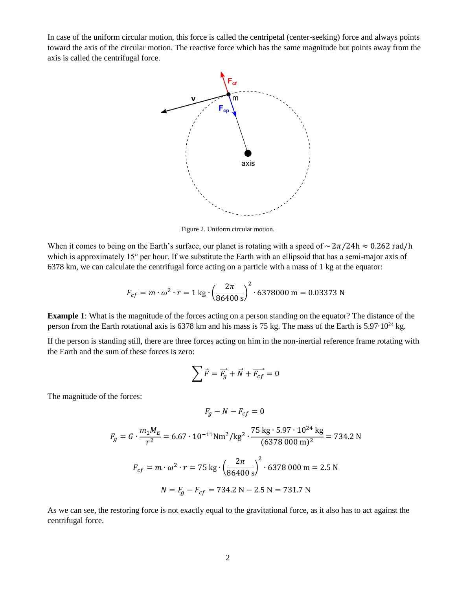In case of the uniform circular motion, this force is called the centripetal (center-seeking) force and always points toward the axis of the circular motion. The reactive force which has the same magnitude but points away from the axis is called the centrifugal force.



Figure 2. Uniform circular motion.

When it comes to being on the Earth's surface, our planet is rotating with a speed of  $\sim 2\pi/24h \approx 0.262$  rad/h which is approximately 15° per hour. If we substitute the Earth with an ellipsoid that has a semi-major axis of 6378 km, we can calculate the centrifugal force acting on a particle with a mass of 1 kg at the equator:

$$
F_{cf} = m \cdot \omega^2 \cdot r = 1 \text{ kg} \cdot \left(\frac{2\pi}{86400 \text{ s}}\right)^2 \cdot 6378000 \text{ m} = 0.03373 \text{ N}
$$

**Example 1**: What is the magnitude of the forces acting on a person standing on the equator? The distance of the person from the Earth rotational axis is 6378 km and his mass is 75 kg. The mass of the Earth is 5.97∙10<sup>24</sup> kg.

If the person is standing still, there are three forces acting on him in the non-inertial reference frame rotating with the Earth and the sum of these forces is zero:

$$
\sum \vec{F} = \vec{F_g} + \vec{N} + \vec{F_{cf}} = 0
$$

The magnitude of the forces:

$$
F_g - N - F_{cf} = 0
$$

$$
F_g = G \cdot \frac{m_1 M_E}{r^2} = 6.67 \cdot 10^{-11} \text{Nm}^2/\text{kg}^2 \cdot \frac{75 \text{ kg} \cdot 5.97 \cdot 10^{24} \text{ kg}}{(6378\ 000 \text{ m})^2} = 734.2 \text{ N}
$$
  

$$
F_{cf} = m \cdot \omega^2 \cdot r = 75 \text{ kg} \cdot \left(\frac{2\pi}{86400 \text{ s}}\right)^2 \cdot 6378\ 000 \text{ m} = 2.5 \text{ N}
$$
  

$$
N = F_g - F_{cf} = 734.2 \text{ N} - 2.5 \text{ N} = 731.7 \text{ N}
$$

As we can see, the restoring force is not exactly equal to the gravitational force, as it also has to act against the centrifugal force.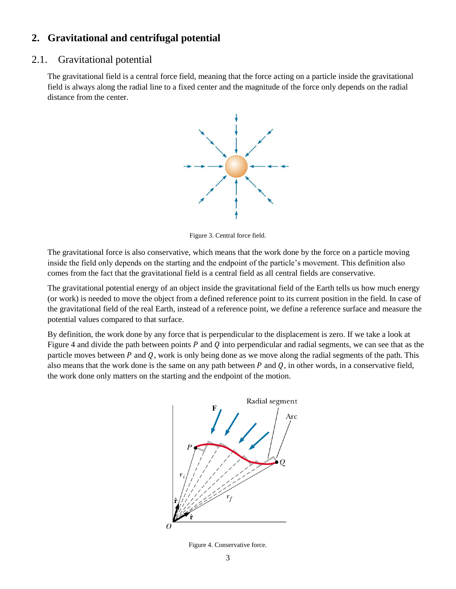## **2. Gravitational and centrifugal potential**

### 2.1. Gravitational potential

The gravitational field is a central force field, meaning that the force acting on a particle inside the gravitational field is always along the radial line to a fixed center and the magnitude of the force only depends on the radial distance from the center.



Figure 3. Central force field.

The gravitational force is also conservative, which means that the work done by the force on a particle moving inside the field only depends on the starting and the endpoint of the particle's movement. This definition also comes from the fact that the gravitational field is a central field as all central fields are conservative.

The gravitational potential energy of an object inside the gravitational field of the Earth tells us how much energy (or work) is needed to move the object from a defined reference point to its current position in the field. In case of the gravitational field of the real Earth, instead of a reference point, we define a reference surface and measure the potential values compared to that surface.

By definition, the work done by any force that is perpendicular to the displacement is zero. If we take a look at [Figure 4](#page-2-0) and divide the path between points  $P$  and  $Q$  into perpendicular and radial segments, we can see that as the particle moves between  $P$  and  $Q$ , work is only being done as we move along the radial segments of the path. This also means that the work done is the same on any path between  $P$  and  $Q$ , in other words, in a conservative field, the work done only matters on the starting and the endpoint of the motion.



<span id="page-2-0"></span>Figure 4. Conservative force.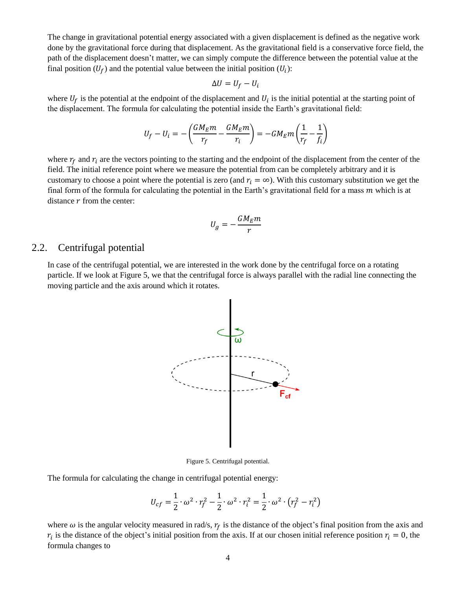The change in gravitational potential energy associated with a given displacement is defined as the negative work done by the gravitational force during that displacement. As the gravitational field is a conservative force field, the path of the displacement doesn't matter, we can simply compute the difference between the potential value at the final position  $(U_f)$  and the potential value between the initial position  $(U_i)$ :

$$
\Delta U = U_f - U_i
$$

where  $U_f$  is the potential at the endpoint of the displacement and  $U_i$  is the initial potential at the starting point of the displacement. The formula for calculating the potential inside the Earth's gravitational field:

$$
U_f - U_i = -\left(\frac{GM_Em}{r_f} - \frac{GM_Em}{r_i}\right) = -GM_Em\left(\frac{1}{r_f} - \frac{1}{f_i}\right)
$$

where  $r_f$  and  $r_i$  are the vectors pointing to the starting and the endpoint of the displacement from the center of the field. The initial reference point where we measure the potential from can be completely arbitrary and it is customary to choose a point where the potential is zero (and  $r_i = \infty$ ). With this customary substitution we get the final form of the formula for calculating the potential in the Earth's gravitational field for a mass  $m$  which is at distance  $r$  from the center:

$$
U_g=-\frac{GM_E m}{r}
$$

## 2.2. Centrifugal potential

In case of the centrifugal potential, we are interested in the work done by the centrifugal force on a rotating particle. If we look at [Figure 5,](#page-3-0) we that the centrifugal force is always parallel with the radial line connecting the moving particle and the axis around which it rotates.



Figure 5. Centrifugal potential.

<span id="page-3-0"></span>The formula for calculating the change in centrifugal potential energy:

$$
U_{cf} = \frac{1}{2} \cdot \omega^2 \cdot r_f^2 - \frac{1}{2} \cdot \omega^2 \cdot r_i^2 = \frac{1}{2} \cdot \omega^2 \cdot (r_f^2 - r_i^2)
$$

where  $\omega$  is the angular velocity measured in rad/s,  $r_f$  is the distance of the object's final position from the axis and  $r_i$  is the distance of the object's initial position from the axis. If at our chosen initial reference position  $r_i = 0$ , the formula changes to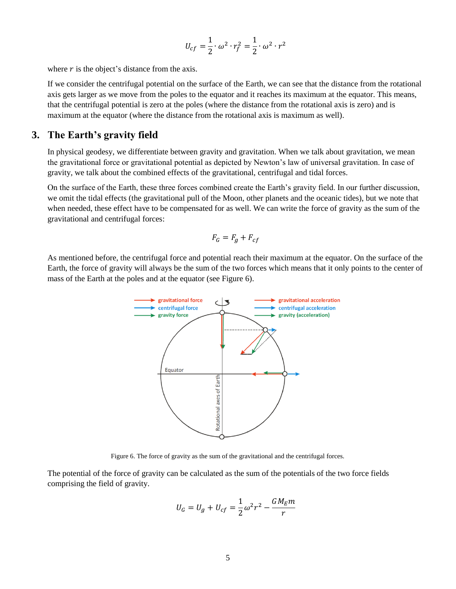$$
U_{cf} = \frac{1}{2} \cdot \omega^2 \cdot r_f^2 = \frac{1}{2} \cdot \omega^2 \cdot r^2
$$

where  $r$  is the object's distance from the axis.

If we consider the centrifugal potential on the surface of the Earth, we can see that the distance from the rotational axis gets larger as we move from the poles to the equator and it reaches its maximum at the equator. This means, that the centrifugal potential is zero at the poles (where the distance from the rotational axis is zero) and is maximum at the equator (where the distance from the rotational axis is maximum as well).

#### **3. The Earth's gravity field**

In physical geodesy, we differentiate between gravity and gravitation. When we talk about gravitation, we mean the gravitational force or gravitational potential as depicted by Newton's law of universal gravitation. In case of gravity, we talk about the combined effects of the gravitational, centrifugal and tidal forces.

On the surface of the Earth, these three forces combined create the Earth's gravity field. In our further discussion, we omit the tidal effects (the gravitational pull of the Moon, other planets and the oceanic tides), but we note that when needed, these effect have to be compensated for as well. We can write the force of gravity as the sum of the gravitational and centrifugal forces:

$$
F_G = F_g + F_{cf}
$$

As mentioned before, the centrifugal force and potential reach their maximum at the equator. On the surface of the Earth, the force of gravity will always be the sum of the two forces which means that it only points to the center of mass of the Earth at the poles and at the equator (see [Figure 6\)](#page-4-0).



Figure 6. The force of gravity as the sum of the gravitational and the centrifugal forces.

<span id="page-4-0"></span>The potential of the force of gravity can be calculated as the sum of the potentials of the two force fields comprising the field of gravity.

$$
U_G = U_g + U_{cf} = \frac{1}{2}\omega^2 r^2 - \frac{GM_Em}{r}
$$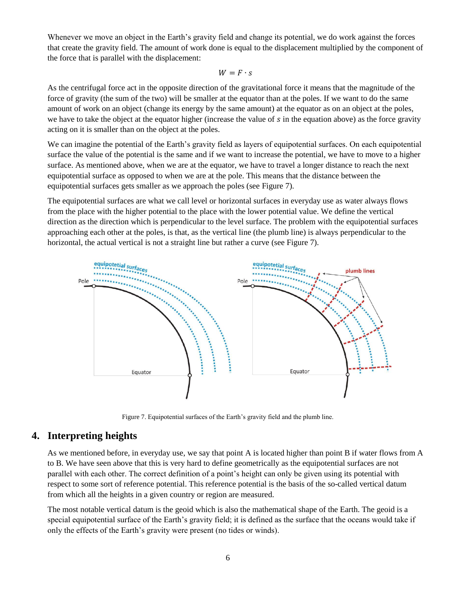Whenever we move an object in the Earth's gravity field and change its potential, we do work against the forces that create the gravity field. The amount of work done is equal to the displacement multiplied by the component of the force that is parallel with the displacement:

#### $W = F \cdot s$

As the centrifugal force act in the opposite direction of the gravitational force it means that the magnitude of the force of gravity (the sum of the two) will be smaller at the equator than at the poles. If we want to do the same amount of work on an object (change its energy by the same amount) at the equator as on an object at the poles, we have to take the object at the equator higher (increase the value of  $s$  in the equation above) as the force gravity acting on it is smaller than on the object at the poles.

We can imagine the potential of the Earth's gravity field as layers of equipotential surfaces. On each equipotential surface the value of the potential is the same and if we want to increase the potential, we have to move to a higher surface. As mentioned above, when we are at the equator, we have to travel a longer distance to reach the next equipotential surface as opposed to when we are at the pole. This means that the distance between the equipotential surfaces gets smaller as we approach the poles (see [Figure 7\)](#page-5-0).

The equipotential surfaces are what we call level or horizontal surfaces in everyday use as water always flows from the place with the higher potential to the place with the lower potential value. We define the vertical direction as the direction which is perpendicular to the level surface. The problem with the equipotential surfaces approaching each other at the poles, is that, as the vertical line (the plumb line) is always perpendicular to the horizontal, the actual vertical is not a straight line but rather a curve (see [Figure 7\)](#page-5-0).



Figure 7. Equipotential surfaces of the Earth's gravity field and the plumb line.

#### <span id="page-5-0"></span>**4. Interpreting heights**

As we mentioned before, in everyday use, we say that point A is located higher than point B if water flows from A to B. We have seen above that this is very hard to define geometrically as the equipotential surfaces are not parallel with each other. The correct definition of a point's height can only be given using its potential with respect to some sort of reference potential. This reference potential is the basis of the so-called vertical datum from which all the heights in a given country or region are measured.

The most notable vertical datum is the geoid which is also the mathematical shape of the Earth. The geoid is a special equipotential surface of the Earth's gravity field; it is defined as the surface that the oceans would take if only the effects of the Earth's gravity were present (no tides or winds).